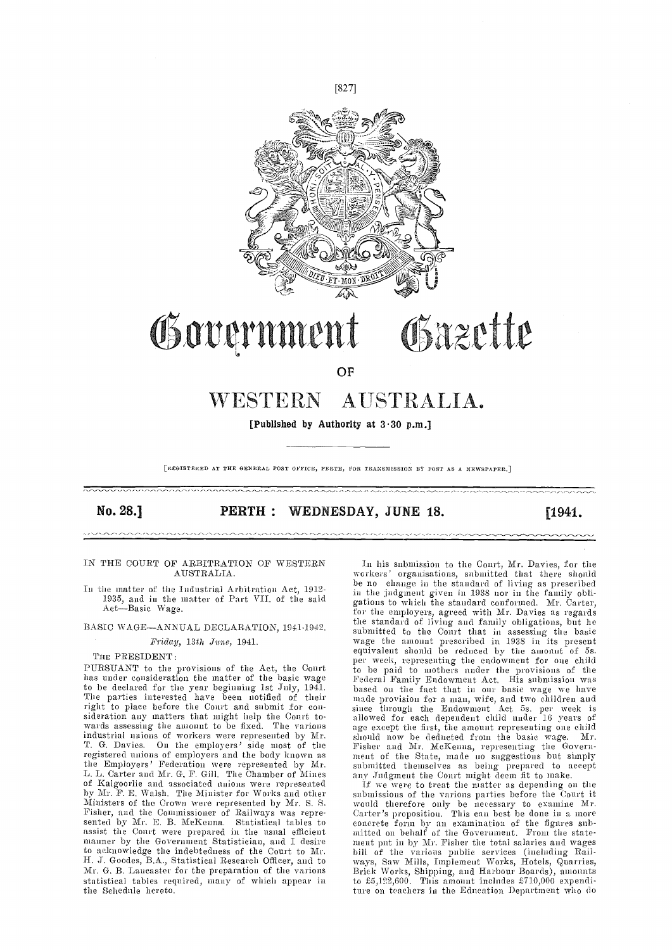

# Government Gazette

OP

## WESTERN AUSTRALIA.

[Published by Authority at  $3.30$  p.m.]

[REGISTERED AT THE GENERAL POST OFFICE, PERTH, FOR TRANSMISSION BY POST AS A NEWSPAPER.]

#### No. 28.] **PERTH: WEDNESDAY, JUNE 18.** [1941.]

#### IN THE COURT OF ARBITRATION OF WESTERN AUSTRALIA.

1935, and in the matter of Part VII. of the said  $\frac{m}{g}\frac{m}{h}$ Act-Basic Wage.

#### BASIC WAGE-ANNUAL DECLARATION, 1941-1942.

Friday, 13th Jane, 1941.

#### THE PRESIDENT:

PURSUANT to the provisions of the Act, the Court has under consideration the matter of the basic wage to be declared for the year beginning 1st July, 1941. The parties interested have been notified of their right to place before the Court and submit for consideration any matters that might help the Court to-<br>wards assessing the amount to be fixed. The various industrial unions of workers were represented by Mr. T. G. Davies. On the employers' side most of the Fish registered unions of employers and the body known as the Employers' Federation were represented by Mr. L. L. Carter and Mr. G. F. Gill. The Chamber of Mines L. L. Carter and Mr. G. F. GIII. The Chamber of Millies any Judgment the Court might deem nt to make.<br>
of Kalgoorlie and associated unions were represented if we were to treat the matter as depending on the<br>
by Mr. F. E. W Fisher, and the Commissioner of Railways was represented by Mr. E. B. McKenna. Statistical tables to assist the Court were prepared in the usual efficient manner by the Government Statistician, and I desire ment put in by Mr. Fisher the total salaries and wages to acknowledge the indebtedness of the Court to Mr. H. J. Goodes, B.A., Statistical Research Officer, and to Mr. G. B. Laucaster for the preparation of the various statistical tables required, many of which appear in the Schedule hereto.

In the matter of the Industrial Arbitration Act, 1912-<br>in the judgment given in 1938 nor in the family obli-<br>1925 - Alexandr C. D. (NIT of the residence in 1938 nor in the family obli-In his submission to the Court, Mr. Davies, for the workers' organisations, submitted that there should be no change in the standard of living as prescribed in the judgment given in 1938 nor in the family obli- gations to which the standard conformed. Mr. Carter, for time employers, agreed with Mr. Davies as regards the standard of living and family obligations, but he submitted to the Court that in assessing the basic wage the amount prescribed in 1938 in its present equivalent should be reduced by the amount of 5s. per week, representing the endowment for one child to be paid to mothers under the provisions of the<br>Federal Family Endowment Act. His submission was based on the fact that in our basic wage we have made provision for a man, wife, and two children and<br>since through the Endowment Act, 5s. per week is allowed for each dependent child under 16 years of age except the first, the amount representing one child should now be deducted from the basic wage. Mr. Fisher and Mr. McKenna, representing the Govern-<br>ment of the State, made no snggestions but simply submitted themselves as being prepared to accept any Judgment the Court nught deem fit to make.

if we were to treat the matter as depending on the would therefore only be necessary to examine Mr. Carter's proposition. This can best be done in a more concrete form by an examination of the figures sub-<br>mitted on behalf of the Government. From the statement put in by Mr. Fisher the total salaries and wages<br>bill of the various public services (including Rail-<br>ways, Saw Mills, Implement Works, Hotels, Quarries,<br>Brick Works, Shipping, and Harbour Boards), amounts to  $\text{\pounds}5,\!122,\!600$ . This amount includes  $\text{\pounds}710,\!000$  expenditure on teachers in the Education Department who do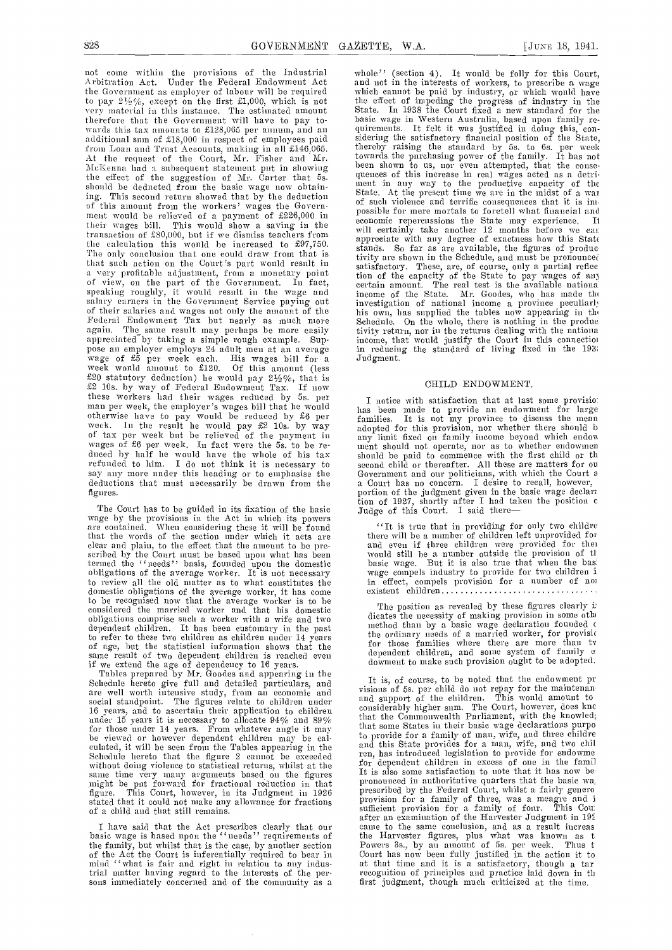not come within the provisions of the Industrial Arbitration Act. Under the Federal Endowment Act the Government as employer of labour will be required<br>to pay  $2\frac{1}{2}\%$ , except on the first £1,000, which is not very material in this instance. The estimated amount State. In 1938 the Court fixed a new standard for the therefore that the Government will have to pay to-<br>therefore that the Government will have to pay to- basic wage in wards this tax amounts to £128,065 per annum, and an additional sum of £18,000 in respect of employees paid frons Loan and Trust Accounts, making in all £146,065. At the request of the Court., Mr. Fisher and Mr. McKenna had a subsequent statement put in showing been the effect of the suggestion of Mr. Carter that 5s.<br>should be deducted from the basic wage now obtain-<br>ing. This second return showed that by the deduction of this amount from the workers' wages the Government would be relieved of a payment of £226,000 in  $\frac{p_{\text{loss}}}{q_{\text{conn}}}$ their wages bill. This would show a saving in the  $\frac{e^{c_0 n_0}}{w^{11}}$ transaction of £80,000, but if we dismiss teachers from the will celtain<br>the calculation this would be increased to £97,750. stands. So The only conclusion that one could draw from that is that such action on the Court's part would result in a very profitable adjustment, from a monetary point of view, on the part of the Government. In fact, speaking roughly, it would result in the wage and<br>salary earners in the Government Service paying out of their salaries and wages not only the amount of the his own, has supplied the tables now appearing in the Federal Endowment Tax but nearly as much more Schedule. On the whole there is nothing in the produc again. The same result may perhaps be more easily appreciated by taking a simple rough example. Supappreciated by taking a simple rough example. Sup-<br>pose an employer employs 24 adult men at an average<br>wage of  $\overline{x}$  per week each. His wages bill for a<br>week would amount to  $\overline{x}$ 120. Of this amount (less<br> $\overline{x}$ 20 st  $\mathcal{L}_2$  is the workers had their wages reduced by  $\mathcal{L}_2$ . If now these workers had their wages reduced by 5s. per man per week, the employer's wages bill that he would<br>man per week, the employer's wages bill that he would<br>that he would be reduced by  $\frac{1}{2}$  families. It is not my province to discuss the mean<br>week. In the result he of tax per week but be relieved of the payment in any live acceptor wages of £6 per week. In fact were the 5s. to be reduced by half he would have the whole of his tax should refunded to him. I do not think it is necessary to second say any more under this heading or to emphasise the Gove<br>deductions that must necessarily be drawn from the a Co<br>figures.

The Court has to be guided in its fixation of the basic Judg<br>wage by the provisions in the Act in which its powers<br>are contained. When considering these it will be found that the words of the section under which it acts are the clear and plain, to the effect that the amount to be pre- and care in the Court must be based upon what has been wo termed the '' needs'' basis, founded upon the domestic basis basis, founded upon the domestic basis to review' all the old niatter as to what constitutes the domestic obligations of the average worker, it has come to be recognised now that the average worker is to be<br>considered the married worker and that his domestic<br>obligations comprise such a worker with a wife and two<br>dependent children. It has been customary in the past to refer to these two children as children under 14 years of age, but the statistical information shows that the same result of two dependent children is reached even dependent children, and some system of family c<br>if we extend the age of dependency to 16 years downent to make such provision ought to be adopted.

if we extend the age of dependency to 16 years.<br>Tables prepared by Mr. Goodes and appearing in the Schedule hereto give full and detailed particulars, and  $\frac{1}{2}$  is, of course, to be noted that the endowment pr are well worth intensive study, from an economic and<br>social standpoint. The figures relate to children under and support<br>16 years, and to ascertain their application to children considerably<br>under 15 years it is necessary for those under 14 years. From whatever angle it may that some States in their basic wage declarations purpo<br>be viewed or however dependent children may be calculated by provide for a family of man, wife, and three childre culated, it will be seen from the Tables appearing in the and this State provides for a man, wife, and two chil<br>Schedule hereto that the figure 2 cannot be exceeded ren, has introduced legislation to provide for endowme<br>wi same time very many arguments based on the figures and the salso some satisfaction to note that it has now be might be put forward for fractional reduction in that pronounced in authoritative quarters that the basic was fi figure. This Court, however, in its Judgment in 1926 stated that it could not make any allowance for fractions  $\begin{bmatrix} p_1 \ p_2 \end{bmatrix}$  of a child and that still remains.

the family, but whilst that is the case, by another section Power<br>of the Act the Court is inferentially required to bear in Cour<br>mind ''what is fair and right in relation to any indus-<br>at the trial matter having regard to the interests of the per- rec<br>sons immediately concerned and of the community as a and first

This second return showed that by the deduction<br>is amount from the workers' wages the Govern. of such violence and terrific consequences that it is imwhole'' (section 4). It would be folly for this Court, and not in the interests of workers, to prescribe a wage which cannot be paid by industry, or which would have the effect of impeding the progress of industry in the basic wage in Western Australia, based upon family requirements. It felt it was justified in doing this, con-<br>sidering the satisfactory financial position of the State, thereby raising the standard by 5s. to 6s. per week<br>towards the purchasing power of the family. It has not been shown to us, nor even attempted, that the conse-<br>quences of this increase in real wages acted as a detri-Next time we are in the midst of a was selected as a was of such violence and terrific consequences that it is impossible for mere mortals to foretell what financial and economic repercussions the State may experience. It economic repercussions the State may experience. will certainly take another 12 months before we can appreciate with any degree of exactness how this State stands. So far as are available, the figures of productivity are shown in the Schedule, and must be pronounced satisfactory. These, are, of course, only a partial reflection of the capacity of the State to pay wages of any tion of the capacity of the State to pay wages of any eertain amount. The real test is the available national income of the State. Mr. Goodes, who has made tin investigation of national income a province peculiarly Schedule. On the whole, there is nothing in the produc tivity return, nor in the returns dealing with the nationa income, that would justify the Court in this connection<br>in reducing the standard of living fixed in the 1931<br>Judgment.

#### CHILD ENDOWMENT.

I notice with satisfaction that at last some provisio:<br>has been made to provide an endowment for large<br>families. It is not my province to discuss the mean adopted for this provision, nor whether there should b any limit fixed on family income beyond which endow ment should not operate, nor as to whether endowmen should be paid to commence with the first child or th second child or thereafter. All these are matters for ou<br>Government and our politicians, with which the Court a Government and our politicians, with which the Court a<br>a Court has no concern. I desire to recall, however,<br>portion of the judgment given in the basic wage declar:<br>tion of 1927, shortly after I had taken the position c<br>Jud

"It is true that in providing for only two childre<br>there will be a number of children left unprovided for there will be a number of children left unprovided for<br>and even if three children were provided for the<br>would still be a number outside the provision of the<br>basic wage. But it is also true that when the basi<br>wage compels i in effect, compels provision for a number of nometistical existent children...................................

The position as revealed by these figures clearly is dicates the necessity of making provision in some other nethod than by a basic wage declaration founded  $\epsilon$ the ordinary needs of a married worker, for provisic for those families where there are more than tv dependent children, and some system of family e:

I have said that the Act prescribes clearly that our<br>Distribution of the Harvester Judgment in 192<br>basic wage is based upon the ''ueeds'' requirements of the Harvester figures, plus what was known as t<br>the family, but whil It is, of course, to be noted that the endowment pr<br>visions of 5s. per child do not repay for the maintenan<br>and support of the children. This would amount to<br>considerably higher sum. The Court, however, does knc that the Conmonwealth Parliament, with the knowled;<br>that some States in their basic wage declarations purpo and this State provides for a man, wife, and two chil for dependent children in excess of one in the famil It is also some satisfaction to note that it has now be prescribed by the Federal Court, while a family genes a fairly genes of three, was a meagre and i sufficient provision for a family of four. This Cour after an examination of the Harvester Judgment in 192 came to the same conclusion, and as a result increas the Harvester figures, plus what was known as t<br>Powers 3s., by an amount of 5s. per week. Thus t Court has now been fully justified in the action it to<br>at that time and it is a satisfactory, though a tar<br>recognition of principles and practice laid down in th first judgment, though much criticized at the time.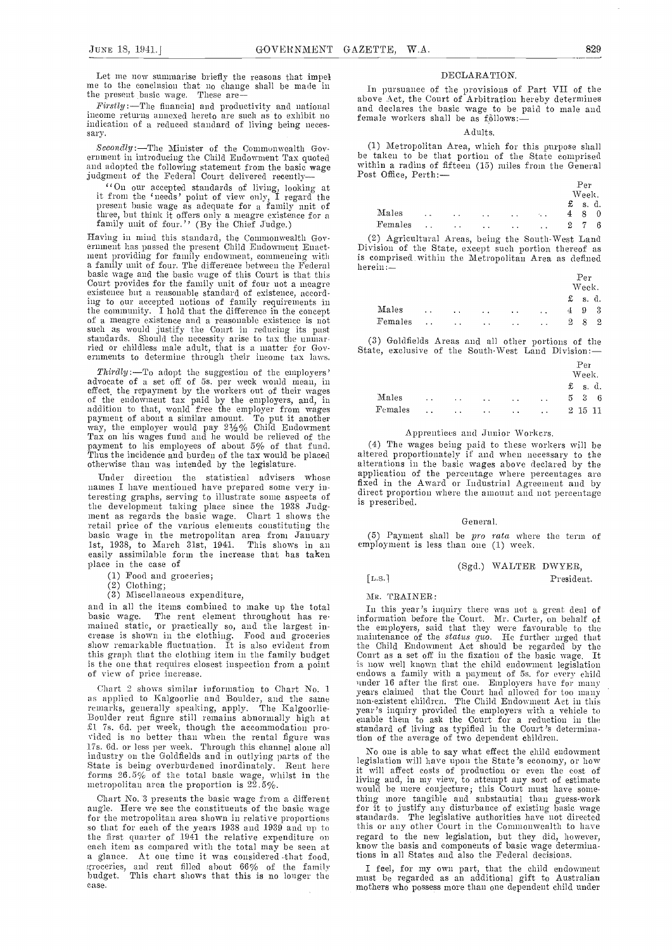Let me now summarise briefly the reasons that impel me to the conclusion that no change shall be made in the present basic wage. These are

income returns annexed hereto are such as to exhibit no indication of a reduced standard of living being necessary.

Secondly :-The Minister of the Commonwealth Gov- (1) Metropolitan Area, which for this purpose shall<br>ernment in introducing the Child Endowment Tax quoted be taken to be that portion of the State comprised and adopted the following statement from the basic wage judgment of the Federal Court delivered recently

''On our accepted standards of living, looking at it froni the 'needs' point of view only, I regard the present basic wage as adequate for a family unit of three, but think it offers only a meagre existence for a family unit of four.'' (By the Chief Judge.)

Having in mind this standard, the Commonwealth Gov-<br>
ernment has passed the present Child Endowment Enact-<br>
Division of the State, except such portion thereof as<br>
nent providing for family endowment, commencing with<br>
is co a family unit of four. The difference between the Federal herein:—<br>basic wage and the basic wage of this Court is that this<br>Court provides for the family unit of four not a meagre existence but a reasonable standard of existence, accord-ing to our accepted notions of faunly requirements in the community. I hold that the difference in the concept<br>of a meagre existence and a reasonable existence is not<br>such as would justify the Conrt in reducing its past<br>standards. Should the necessity arise to tax the unnar-<br>

Thirdly :—To adopt the suggestion of the employers' advocate of a set off of 5s. per week would mean, in effect, the repayment by the workers out of their wages effect, the repayment by the workers out of their wages of the endowment tax paid by the employers, and, in addition to that, would free the employer from wages<br>payment of about a similar amount. To put it another<br>way, the employer would pay  $2\frac{1}{2}\%$  Child Endowment<br>Tax on his wages fund and he would be relieved of the<br>payme

Under direction the statistical advisers whose names I have mentioned have prepared some very interesting graphs, serving to illustrate some aspects of the development taking place since the 1938 Judg-<br>ment as regards the basic wage. Chart 1 shows the<br>retail price of the various elements constituting the retail price of the various elements constituting the basic wage in the metropolitan area from January 1st, 1938, to March 31st, 1941. This shows in an employ easily assimilable form the increase that has taken place in the case of

Food and groceries;

 $(2)$  Clothing;

(3) Miscellaneous expenditure,

and in all the items combined to make up the total basic wage. The rent element throughout has re- mained static, or practically so, and the largest increase is shown in the clothing. Food and groceries maintenance of the status quo. He further mged is<br>show remarkable fluctuation. It is also evident from the Child Endowment Act should be regarded by<br>this graph that the c this graph that the clothing item in the family budget is the one that requires closest inspection from a point of view of price increase.

Chart 2 shows similar information to Chart No. 1 as applied to Kalgoorlie and Boulder, and the same remarks, generally speaking, apply. The Kalgoorlie-Boulder rent figure still remains abnormally high at enable them to ask the Court for a reduction in the<br>
fil 7s. 6d. per week, though the accommodation pro-<br>
vided is no better than when the rental figure was<br>
in of the a forms 26.5% of the total basic wage, whilst in the metropolitan area the proportion is 22.5%.

Chart No. 3 presents the basic wage from a different angle. Here we see the constituents of the basic wage for the metropolitan area shown in relative proportions so that for each of the years 1938 and 1939 and up to this or any other Court in the Commonwealth to have<br>the first quarter of 1941 the relative expenditure on regard to the new legislation, but they did, however, the first quarter of 1941 the relative expenditure on each item as compared with the total may be seen at a glance. At one time it was considered that food, groceries, and rent filled about 66% of the family groceries, and rent filled about 66% of the family Indget. This chart shows that this is no longer the must case.

#### DECLARATION.

e present pasic wage. These are the financial and productivity and national and declares the Court of Arbitration hereby determines<br>Firstly:—The financial and productivity and national and declares the basic wage to be pai In pursuance of the provisions of Part VII of the and declares the basic wage to be paid to male and female workers shall be as  $f_0$  blows:-

#### Adults.

within a radius of fifteen (15) miles from the General Post Office, Perth: —

|         |                      |                      |                      |               |                                                         | Per                              |  |
|---------|----------------------|----------------------|----------------------|---------------|---------------------------------------------------------|----------------------------------|--|
|         |                      |                      |                      |               |                                                         | Week.                            |  |
|         |                      |                      |                      |               |                                                         | $f$ s.d.                         |  |
| Males   | $\ddot{\phantom{0}}$ | $\ddot{\phantom{1}}$ | $\sim$ $\sim$        | $\ddotsc$     | $\mathcal{F}_{\mathbf{a}}$ . $\mathcal{F}_{\mathbf{a}}$ | -8<br>$\overline{4}$<br>$\theta$ |  |
| Females | $\ddot{\phantom{a}}$ | $\ddot{\phantom{1}}$ | $\sim$ $\sim$ $\sim$ | $\sim$ $\sim$ | $\sim$ $\sim$                                           | $^{2}$<br>-7<br>6                |  |

Division of the State, except such portion thereof as is comprised within the Metropolitan Area as defined

|       |  | Per<br>Week. |  |                   |          |       |  |  |  |
|-------|--|--------------|--|-------------------|----------|-------|--|--|--|
|       |  |              |  |                   | $f$ s.d. |       |  |  |  |
| Males |  |              |  | $4\quad 9\quad 3$ |          |       |  |  |  |
|       |  |              |  |                   |          | 2 8 2 |  |  |  |

Goldfields Areas and all other portions of the State, exclusive of the South-West Land Division:

|                                  |  |                                                                 |                      | Per<br>Week.      |  |
|----------------------------------|--|-----------------------------------------------------------------|----------------------|-------------------|--|
|                                  |  |                                                                 |                      | £ s.d.            |  |
| Males $\cdots$ $\cdots$ $\cdots$ |  |                                                                 | $\ddot{\phantom{a}}$ | $5\quad 3\quad 6$ |  |
| $\rm Fcmales$                    |  | the second contract of the second contract of the second second |                      | 2 15 11           |  |

#### Apprentices and Junior Workers.

 $(4)$  The wages being paid to these workers will be altered proportionately if and when necessary to the alterations in the basic wages above declared by the application of the percentage where percentages are fixed in the Award or Industrial Agreement and by direct proportion where the amount and not percentage is prescribed.

#### General.

 $(5)$  Payment shall be *pro rata* where the term of  $employ$ ment is less than one  $(1)$  week.

#### (Sgd.) WALTER DWYER, [L.s.1 President.

Ms. TRAINER:

In this year's inquiry there was not a great deal of information before the Court. Mr. Carter, on behalf of

the employers, said that they were favourable to the maintenance of the *status quo*. He further nrged that the Child Endowment Act should be regarded by the Court as a set off in the fixation of the basic wage. It is now well known that the child endowment legislation endows a family with a payment of 5s. for every child under 16 after the first one. Employers have for many<br>years claimed that the Court had allowed for too many non-existent children. The Child Endowment Act in this year's inquiry provided the employers with a vehicle to enable theni to ask the Court for a reduction in the standard of living as typified in the Court 's determination of the average of two dependent children.

legislation will have upon the State's economy, or how it will affect costs of production or even the cost of living and, in my view, to attempt any sort of estimate living and, in my view, to attempt any sort of estimate would he mere conjecture; this Court must have something more tangible and substantial than guess-work for it to justify any disturbance of existing basic wage standards. The legislative authorities have not directed this or any other Court in the Commonwealth to have know the basis and components of basic wage determinations in all States and also the Federal decisions.

<sup>I</sup> feel, for my own part, that the child endowment must be regarded as an additional gift to Australian mothers who possess more tiran one dependent child under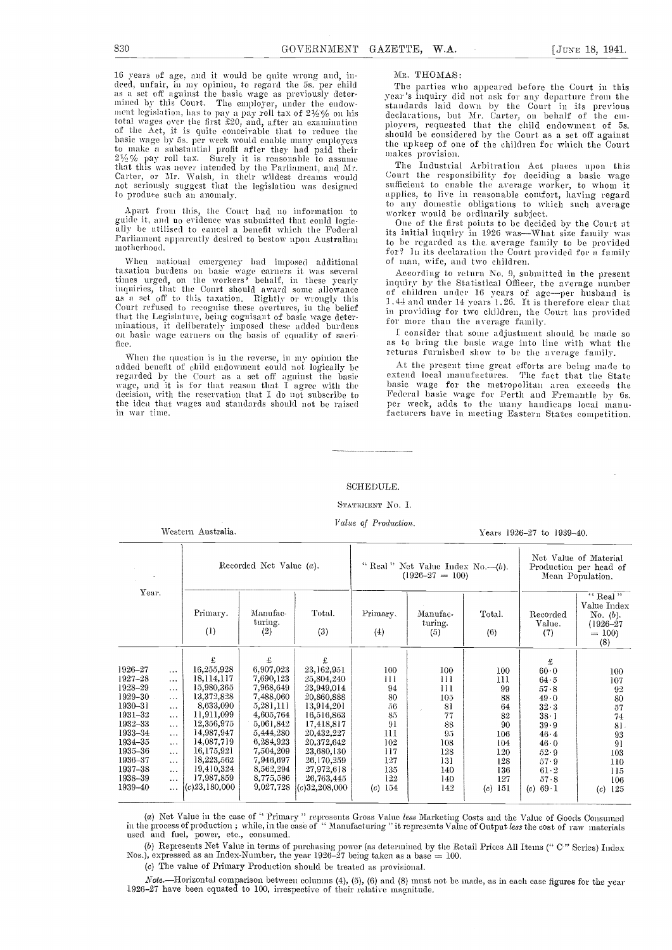16 years of age, and it would be quite wrong and, in-<br>deed, unfair, in my opinion, to regard the 5s. per child<br>as a set off against the basic wage as previously deter-<br>mined by this Court. The employer, under the endowment legislation, has to pay a pay roll tax of  $2\frac{1}{2}\%$  on his declared total wages over the first £20, and, after an examination ployer the Act, it is quite conceivable that to reduce the should basic wage by 5s, per of the except by 5s, per week would enable mail to reduce the should be considered to make a substantial profit after they had paid their anakes provision.<br>  $2\frac{1}{2}$  Ye pay roll tax. Surely it is reasonable to assume tha that tills ti-as never intended by the Parliament, and Mr. Carte], or Sir. Walsh. in their wildest dreams would not seriously suggest that the legislation was designed to produce such an anomaly.

Apart from this, the Court had no information to the any domestic obligations to will<br>guide it, and no evidence was submitted that conld logic-<br>One of the first points to be decident ally be utilised to cancel a benefit which the Federal its initial inquiry in 1926 was—What size family was Parliament apparently desired to bestow upon Australian motherhood.

When national emergency had imposed additional taxation burdens on basic wage earners it was several times urged, on the workers' behalf, in these yearly inquiries, that the Court should award some allowance as a set off to this taxation. Rightly or wrongly this  $\frac{1}{1}$ ,  $\frac{1}{1}$ . that tile Legislature, being eogmsant of basic wage deter ininatious, it deliberately imposed these added burdens on basic wage earners on the basis of equality of sacri fice.

When the question is in the reverse, in my opinion the added benefit of child endowment could not logically be regarded by the Court as a set off against the basic wage, and it is for that reason that I agree with the decision, with the reservation that I do not subscribe to the idea that wages and standards should not be raised in war time.

Mr. THOMAS:<br>The parties who appeared before the Court in this year's inquiry did not ask for any departure from the standards laid down by the Court in its previous declarations, but Mr. Carter, on behalf of the employers, requested that the child endowment of 5s.<br>should be considered by the Court as a set off against the upkeep of one of the children for which the Court

The Industrial Arbitration Act places upon this Court the responsibility for deciding a basic wage sufficient to enable the average worker, to whom it applies, to live in reasonable comfort, having regard to any domestic obligations to which such average worker would be ordinarily subject.<br>One of the first points to be decided by the Court at

to be regarded as the average family to be Provided for? In its declaration the Court provided for a family of man, wife, and two children.

According to return No. 9, submitted in the present inquiry by the Statistical Officer, the average number inquiry by the Statistical Officer, the average number<br>of children under 16 years of age—per husband is 1.44 and under 14 years 1.26. It is therefore clear that in providing for two children, the Court has provided in providing for two children, the Court has provided for more than the average family.

I consider that some adjustment should be made so as to bring the basic wage into line with what the returns furnished show to be the average family.

At the present time great efforts are being made to extend local manufactures. The fact that the State basic wage for the metropolitan area exceeds the Federal basic wage for Perth and Fremantle by 6s.<br>Per week, adds to the many handicaps local manufacturers have in meeting Eastern States competition.

#### SCHEDULE.

#### STATEMENT No. I.

Value of Production.

Western Australia. The contract of the contract of the Vears 1926-27 to 1939-40.

| Year.              |                      |                          | Recorded Net Value $(a)$ . |                          |                 | " Real" Net Value Index No. $-(b)$ .<br>$(1926 - 27 = 100)$ | Net Value of Material<br>Production per head of<br>Mean Population. |                           |                                                                        |
|--------------------|----------------------|--------------------------|----------------------------|--------------------------|-----------------|-------------------------------------------------------------|---------------------------------------------------------------------|---------------------------|------------------------------------------------------------------------|
|                    |                      | Primary.<br>(1)          | Manufac-<br>turing.<br>(2) | Total.<br>(3)            | Primary,<br>(4) | Manufac-<br>turing.<br>(5)                                  | Total.<br>(6)                                                       | Recorded<br>Value.<br>(7) | $``$ Real"<br>Value Index<br>No. $(b)$ .<br>(1926–27<br>$= 100$<br>(8) |
|                    |                      | £                        | £                          | £                        |                 |                                                             |                                                                     | £                         |                                                                        |
| 1926–27            | $\cdots$             | 16,255,928               | 6,907,023                  | 23,162,951               | 100             | 100                                                         | 100                                                                 | 60.0                      | 100                                                                    |
| 1927–28            | $\cdots$             | 18,114,117               | 7,690,123                  | 25,804,240               | 111             | 111                                                         | 111                                                                 | 64.5                      | 107                                                                    |
| 1928–29            | $\cdots$             | 15,980,365               | 7,968,649                  | 23,949,014               | 94              | 111                                                         | 99                                                                  | 57.8                      | 92                                                                     |
| 1929–30            | $\ddotsc$            | 13,372,828               | 7,488,060                  | 20,860,888               | 80              | 105                                                         | 88                                                                  | 49.0                      | 80                                                                     |
| 1930–31            | $\cdots$             | 8,633,090                | 5,281,111                  | 13,914,201               | $\overline{5}6$ | 81                                                          | 64                                                                  | 32.3                      | 57                                                                     |
| 1931-32            | $\cdots$             | 11,911,099               | 4,605,764                  | 16,516,863               | 85              | 77                                                          | 82                                                                  | $38 \cdot 1$              | 74                                                                     |
| 1932-33            | $\cdots$             | 12,356,975               | 5,061,842                  | 17,418,817               | 91              | 88                                                          | 90                                                                  | 39.9                      | 81.                                                                    |
| 1933-34            | $\cdots$             | 14,987,947               | 5,444,280                  | 20,432,227               | 111             | 95                                                          | 106                                                                 | 46.4                      | 93                                                                     |
| 1934–35            | $\cdots$             | 14,087,719<br>16,175,921 | 6,284,923                  | 20,372,642               | 102             | 108                                                         | 104                                                                 | 46.0                      | 91                                                                     |
| 1935–36<br>1936–37 | $\ldots$ .           | 18,223,562               | 7,504,209                  | 23,680,130               | 117             | 128                                                         | 120                                                                 | 52.9                      | 103                                                                    |
| 1937–38            | $\cdots$             | 19,410,324               | 7,946,697<br>8,562,294     | 26,170,259               | 127             | 131                                                         | 128                                                                 | 57.9                      | 110                                                                    |
| 1938-39            | $\sim$ $\sim$        | 17,987,859               | 8,775,586                  | 27,972,618<br>26,763,445 | 135<br>122      | 140                                                         | 136                                                                 | 61.2                      | 115                                                                    |
| 1939–40            | $\cdots$<br>$\cdots$ | $(c)$ 23,180,000         | 9,027,728                  | $(c)$ 32,208,000         | 154<br>(c)      | 140<br>142                                                  | 127<br>-151<br>(c)                                                  | 57.8<br>69.1<br>(c)       | 106<br>125<br>(c)                                                      |

(a) Net Value in the case of " Primary " represents Gross Value *less* Marketing Costs and the Value of Goods Consumed in the process of production ; while, in the case of  $\lq\lq$  Manufacturing " it represents Value of Output less the cost of raw materials used and fuel, power, etc., consumed.

(b) Represents Net Value in terms of purchasing power (as determined by the Retail Prices All Items ("C" Series) Index Nos.), expressed as an Index-Number, the year 1926–27 being taken as a base = 100.

(c) The value of Primary Production should be treated as provisional.

Note.—Horizontal comparison between columns (4), (5), (6) and (8) must not be made, as in each case figures for the year 1926-27 have been equated to 100, irrespective of their relative magnitude.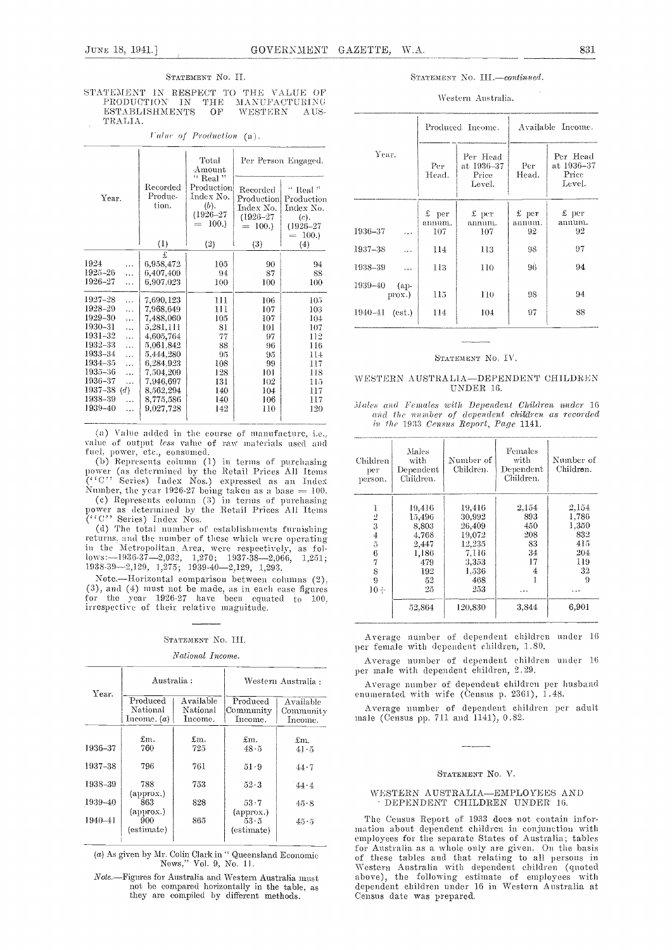#### STATEMENT NO. II.

STATEMENT IN RESPECT TO THE VALUE OF PRODUCTION IN THE MANUFACTURING MANUFACTURING PRODUCTION IN THE ESTABLISHMENTS OF WESTERN - A US-TRALIA.

Value of Production (a).

|                                                                                                                                                                                                                            |                                                                                                                                                               | Total<br>Amount                                                                    |                                                                            | Per Person Engaged.                                                                                     |
|----------------------------------------------------------------------------------------------------------------------------------------------------------------------------------------------------------------------------|---------------------------------------------------------------------------------------------------------------------------------------------------------------|------------------------------------------------------------------------------------|----------------------------------------------------------------------------|---------------------------------------------------------------------------------------------------------|
| Year.                                                                                                                                                                                                                      | Recorded<br>Produc-<br>tion.                                                                                                                                  | $\lq$ Real $\lq$<br>Production<br>Index No.<br>(b).<br>$(1926 - 27)$<br>100.<br>m. | Recorded<br>Production<br>Index No.<br>$(1926 - 27)$<br>$= 100.$           | $^{\circ}$ Real $^{\circ}$<br>Production<br>Index No.<br>(c).<br>$(1926 - 27)$<br>100.<br>$\frac{1}{2}$ |
|                                                                                                                                                                                                                            | (1)                                                                                                                                                           | (2)                                                                                | (3)                                                                        | (4)                                                                                                     |
| 1924<br>.<br>1925-26<br>.<br>1926-27<br>.<br>1927–28<br>.<br>1928-29<br>.<br>1929-30<br>$\cdots$<br>1930-31<br>$\ddot{\phantom{a}}$<br>1931-32<br>.<br>1932-33<br>$\cdots$<br>1933–34<br>.<br>1934–35<br>.<br>1935–36<br>. | £<br>6,958,472<br>6,407,409<br>6,907.023<br>7,690,123<br>7,968,649<br>7,488,060<br>5,281,111<br>4,605,764<br>5,061,842<br>5,444,280<br>6,284.923<br>7,504,209 | 105<br>94<br>100<br>111<br>111<br>105<br>81<br>77<br>88<br>95<br>108<br>128        | 90<br>87<br>100<br>106<br>107<br>107<br>101<br>97<br>96<br>95<br>99<br>101 | 94<br>88<br>100<br>105<br>103<br>104<br>107<br>112<br>116<br>114<br>117<br>118                          |
| 1936-37<br>.<br>$1937 - 38$ (d)<br>1938-39<br>.<br>1939-40<br>.                                                                                                                                                            | 7,946,697<br>8,562,294<br>8,775,586<br>9,027,728                                                                                                              | 131<br>140<br>140<br>142                                                           | 102<br>104<br>106<br>110                                                   | 115<br>117<br>117<br>120                                                                                |

(a) Value added in the course of manufacture, i.e., value of output less value of raw materials used and fuel, power, etc., consumed.

(b) Represents column (1) in terms of purchasing<br>power (as determined by the Retail Prices All Items<br> $('`C''. 'Series')$  Index Nos.) expressed as an Index

Number, the year 1926-27 being taken as a base = 100.<br>(c) Represents column (3) in terms of purchasing power as determined by the Retail Prices All Items<br>("C" Series) Index Nos.

(d) The total number of establishments furnishing returns, and the number of these which were operating in the Metropolitan Area, were respectively, as fol- $1088-39-2032$ ,  $1,276$ ;  $1937-38-2066$ ,  $1,251$ ;<br> $1938-39-2,129$ ,  $1,275$ ;  $1939-40-2,129$ ,  $1,293$ .

Note.--Horizontal comparison between columns (2), (3), and (4) must not be made, as in each case figures for the year 1926-27 have been equated to 100. irrespective of their relative magnitude.

### STATEMENT No. III.

#### National Income.

|             | Australia:                            |                                  | Western Australia :                      |                                   |  |  |  |
|-------------|---------------------------------------|----------------------------------|------------------------------------------|-----------------------------------|--|--|--|
| Year.       | Produced<br>National<br>Income. $(a)$ | Available<br>National<br>Income. | Produced<br>Community<br>Income.         | Available<br>Community<br>Income. |  |  |  |
| 1936-37     | £m.<br>760                            | £m.<br>725                       | £m.<br>48.5                              | £m.<br>41.5                       |  |  |  |
| 1937-38     | 796                                   | 761                              | 51.9                                     | 44.7                              |  |  |  |
| 1938-39     | 788                                   | 753                              | $52 - 3$                                 | 44.4                              |  |  |  |
| 1939-40     | (approx.)<br>863                      | 828                              | 53.7                                     | 45.8                              |  |  |  |
| $1940 - 41$ | (approx.)<br>900<br>(estimate)        | 865                              | $(\text{approx.})$<br>53.5<br>(estimate) | 45.5                              |  |  |  |

 $(a)$  As given by Mr. Colin Clark in '' Queensland Economic News," Vol. 9, No. 11.

Note.--Figures for Australia and Western Australia must not be compared horizontally in the table, as they are compiled by different methods.

#### STATEMENT No. III.-continued.

#### Western Australia.

|                              |                          | Produced Income.                          | Available Income.       |                                           |  |  |
|------------------------------|--------------------------|-------------------------------------------|-------------------------|-------------------------------------------|--|--|
| Year.                        | Per<br>Head.             | Per Head<br>at 1936–37<br>Price<br>Level. | Per<br>Head.            | Per Head<br>at 1936–37<br>Price<br>Level. |  |  |
| 1936-37<br>$\cdots$          | $£$ per<br>annum.<br>107 | $\pounds$ per<br>annum.<br>107            | $£$ per<br>annum.<br>92 | £ per<br>annum.<br>92                     |  |  |
| 1937-38<br>.                 | 114                      | 113                                       | 98                      | 97                                        |  |  |
| 1938-39<br>$\cdots$          | 113                      | 110                                       | 96                      | 94                                        |  |  |
| 1939-40<br>(ap-<br>$prox.$ ) | 115                      | 110                                       | 98                      | 94                                        |  |  |
| 1940-41<br>(est.)            | 114                      | 104                                       | 97                      | 88                                        |  |  |

#### STATEMENT NO. IV.

#### WESTERN AUSTRALIA—DEPENDENT CHILDREN UNDER 16.

Males and Females with Dependent Children under 16 and the number of dependent children as recorded in the 1933 Census Report, Page 1141.

| Children<br>per<br>person. | Males<br>with<br>Dependent<br>Children. | Number of<br>Children. | Females<br>with<br>Dependent<br>Children. | Number of<br>Children. |
|----------------------------|-----------------------------------------|------------------------|-------------------------------------------|------------------------|
| 1                          | 19.416                                  | 19,416                 | 2,154                                     | 2,154                  |
|                            | 15.496                                  | 30,992                 | 893                                       | 1,786                  |
| $\frac{5}{3}$              | 8,803                                   | 26,409                 | 450                                       | 1,350                  |
| $\boldsymbol{4}$           | 4.768                                   | 19,072                 | 208                                       | 832                    |
| 5                          | 2,447                                   | 12,235                 | 83                                        | 415                    |
| 6                          | 1,186                                   | 7.116                  | 34                                        | 204                    |
| $\overline{7}$             | 479                                     | 3,353                  | 17                                        | 119                    |
| 8                          | 192                                     | 1.536                  | 4                                         | 32                     |
| 9                          | 52                                      | 468                    |                                           | 9                      |
| $10+$                      | 25                                      | 253                    | .                                         | .                      |
|                            | 52.864                                  | 120,830                | 3,844                                     | 6.901                  |

Average number of dependent children under 16 per female with dependent children, 1.80.

Average number of dependent children under 16<br>per male with dependent children, 2.29.

Average number of dependent children per husband enumerated with wife (Census p. 2361), 1.48.

Average number of dependent children per adult male (Census pp. 711 and 1141), 0.82.

#### STATEMENT NO. V.

#### WESTERN AUSTRALIA-EMPLOYEES AND DEPENDENT CHILDREN UNDER 16.

The Census Report of 1933 does not contain information about dependent children in conjunction with employees for the separate States of Australia; tables for Australia as a whole only are given. On the basis of these tables and that relating to all persons in Western Australia with dependent children (quoted above), the following estimate of employees with dependent children under 16 in Western Australia at Census date was prepared.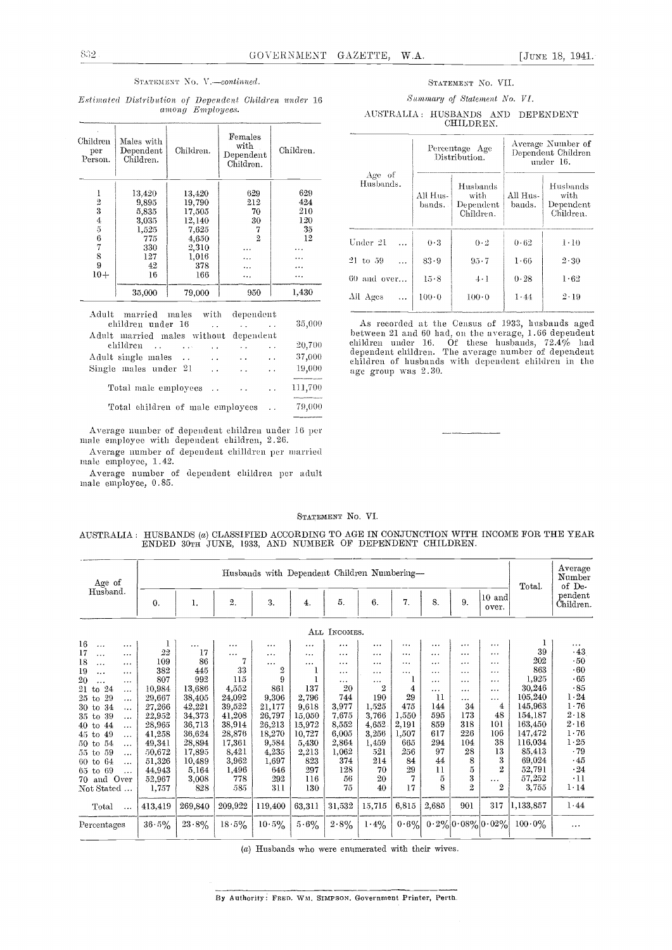#### STATEMENT No. V.-continued.

Estimated Distribution of Dependent Children under 16 among Employees.

| Children<br>per<br>Person. | Males with<br>Dependent<br>Children. | Children. | Females<br>with<br>Dependent<br>Children. | Children. |
|----------------------------|--------------------------------------|-----------|-------------------------------------------|-----------|
| I                          | 13.420                               | 13,420    | 629                                       | 629       |
| $\overline{2}$             | 9.895                                | 19,790    | 212                                       | 424       |
| 3                          | 5,835                                | 17.505    | 70                                        | 210       |
|                            | 3,035                                | 12,140    | 30                                        | 120       |
| $\frac{4}{5}$              | 1,525                                | 7,625     |                                           | 35        |
| 6                          | 775                                  | 4,650     | $\overline{2}$                            | 12        |
| 7                          | 330                                  | 2,310     |                                           |           |
| 8                          | 127                                  | 1,016     | .                                         | .         |
| 9                          | 42                                   | 378       | .                                         | .         |
| $10+$                      | 16                                   | 166       | .                                         | .         |
|                            | 35,000                               | 79,000    | 950                                       | 1,430     |

Adult married males with dependent 35,000 children under 16  $\sim$  . Adult married males without dependent children .. 20,700  $\sim 100$  $\sim 10$  $\sim$   $\sim$  $\ddotsc$ 37,000 Adult single males ..  $\ddot{\phantom{1}}$  .  $\ddot{\phantom{1}}$  .  $\bar{\psi}$  . 19,000 Single males under 21  $\Box$  $\ddot{\phantom{a}}$  .  $\ddotsc$ 111,700 Total male employees ..  $\bar{\mathcal{L}}$  .  $\ddot{\phantom{a}}$  .

79,000 Total children of male employees  $\ddot{\phantom{a}}$  .

Average number of dependent children under 16 per male employee with dependent children, 2.26.

Average number of dependent chilldren per married male employee, 1.42.

Average number of dependent children per adult male employee, 0.85.

#### STATEMENT NO. VII.

#### Summary of Statement No. VI.

AUSTRALIA: HUSBANDS AND DEPENDENT CHILDREN.

|                       |                    | Percentage Age<br>Distribution.                   | Average Number of<br>Dependent Children<br>under 16. |                                            |  |  |  |
|-----------------------|--------------------|---------------------------------------------------|------------------------------------------------------|--------------------------------------------|--|--|--|
| Age of<br>Husbands.   | All Hus-<br>bands. | Husbands<br>with<br>$\rm De$ pendent<br>Children. | All Hus-<br>bands.                                   | Husbands<br>with<br>Dependent<br>Children. |  |  |  |
| Under 21              | 0.3                | $0-2$                                             | 0.62                                                 | $1-10$                                     |  |  |  |
| 21 to 59              | 83.9               | $95 - 7$                                          | 1.66                                                 | $2 \cdot 30$                               |  |  |  |
| $60$ and over         | 15.8               | $4 \cdot 1$                                       | 0.28                                                 | 1.62                                       |  |  |  |
| All Ages<br>$\ddotsc$ | $100 \cdot 0$      | $100 \cdot 0$                                     | 1.44                                                 | $2 - 19$                                   |  |  |  |

As recorded at the Census of 1933, husbands aged<br>between 21 and 60 had, on the average, 1.66 dependent<br>children under 16. Of these husbands, 72.4% had<br>dependent children. The average number of dependent<br>children of husban age group was 2.30.

#### STATEMENT No. VI.

| AUSTRALIA : HUSBANDS (a) CLASSIFIED ACCORDING TO AGE IN CONJUNCTION WITH INCOME FOR THE YEAR |  |  |                                                          |  |  |  |  |  |
|----------------------------------------------------------------------------------------------|--|--|----------------------------------------------------------|--|--|--|--|--|
|                                                                                              |  |  | ENDED 30TH JUNE, 1933, AND NUMBER OF DEPENDENT CHILDREN. |  |  |  |  |  |

| Age of                      |          | Husbands with Dependent Children Numbering- |                  |          |                  |              |                |          |          |                | Total.                | Average<br>Number<br>of De- |                      |
|-----------------------------|----------|---------------------------------------------|------------------|----------|------------------|--------------|----------------|----------|----------|----------------|-----------------------|-----------------------------|----------------------|
| Husband.                    | 0.       | 1.                                          | $\overline{2}$ . | 3.       | $\overline{4}$ . | 5.           | 6.             | 7.       | 8.       | 9.             | $10$ and<br>over.     |                             | pendent<br>Children. |
|                             |          |                                             |                  |          |                  | ALL INCOMES. |                |          |          |                |                       |                             |                      |
| 16<br>.<br>.                |          | $\cdots$                                    | .                | $\cdots$ | .                | $\cdots$     |                |          | $\cdots$ | $\cdots$       | .                     |                             | $\cdots$             |
| 17<br>$\cdots$<br>.         | 22       | 17                                          | $\cdots$         | $\cdots$ | $\cdots$         | $\cdots$     | $\cdots$       | $\cdots$ |          |                | .                     | 39                          | .43                  |
| 18<br>$\ldots$<br>$\cdots$  | 109      | 86                                          | 7                | .        | $\cdots$         | $\cdots$     | .              | $\cdots$ | .        | .              |                       | 202                         | .50                  |
| 19<br>.<br>.                | 382      | 445                                         | 33               | 2        |                  | $\cdots$     | $\cdots$       | $\cdots$ | .        | .              | .                     | 863                         | .60                  |
| 20<br>$\cdots$              | 807      | 992                                         | 115              | 9        |                  | $\cdots$     | $\cdots$       | T        | .        | .              | .                     | 1,925                       | - 65                 |
| 24<br>$21$ to<br>$\cdots$   | 10,984   | 13,686                                      | 4,552            | 861      | 137              | 20           | $\overline{2}$ | 4        | $\cdots$ | .              | .                     | 30,246                      | .85                  |
| 29<br>25 to<br>.            | 29,667   | 38,405                                      | 24,092           | 9,306    | 2,796            | 744          | 190            | 29       | 11       | .              |                       | 105,240                     | 1.24                 |
| 34<br>30 to<br>$\ddotsc$    | 27,266   | 42,221                                      | 39,522           | 21,177   | 9.618            | 3,977        | 1,525          | 475      | 144      | 34             | 4                     | 145,963                     | 1.76                 |
| 39<br>$35$ to<br>$\ddotsc$  | 22,952   | 34,373                                      | 41,208           | 26,797   | 15,050           | 7,675        | 3,766          | 1,550    | 595      | 173            | 48                    | 154,187                     | 2.18                 |
| 44<br>$40$ to<br>$\cdots$   | 28,965   | 36,713                                      | 38,914           | 26,213   | 15,972           | 8,552        | 4,652          | 2,191    | 859      | 318            | 101                   | 163,450                     | $2 \cdot 16$         |
| 49<br>$45$ to<br>$\ddotsc$  | 41,258   | 36,624                                      | 28,876           | 18,270   | 10,727           | 6,005        | 3,256          | 1,507    | 617      | 226            | 106                   | 147,472                     | 1.76                 |
| 54<br>50 to<br>$\cdots$     | 49,341   | 28,894                                      | 17,361           | 9,584    | 5,430            | 2.864        | 1,459          | 665      | 294      | 104            | 38                    | 116,034                     | 1.25                 |
| -59<br>55 to<br>$\cdots$    | 50,672   | 17,895                                      | 8,421            | 4,235    | 2,213            | 1,062        | 521            | 256      | 97       | 28             | 13                    | 85,413                      | .79                  |
| -64<br>$60$ to<br>$\ddotsc$ | 51,326   | 10,489                                      | 3,962            | 1,697    | 823              | 374          | 214            | 84       | 44       | 8              | 3                     | 69,024                      | $\cdot$ 45           |
| 65 to 69<br>$\cdots$        | 44,943   | 5,164                                       | 1,496            | 646      | 297              | 128          | 70             | 29       | 11       | 5              | $\overline{2}$        | 52,791                      | $\cdot 24$           |
| 70 and Over                 | 52,967   | 3,008                                       | 778              | 292      | 116              | 56           | 20             | 7        | 5        | 3              | $\cdots$              | 57,252                      | $\cdot$ 11           |
| Not Stated<br>$\cdot$       | 1,757    | 828                                         | 585              | 311      | 130              | 75           | 40             | 17       | 8        | $\overline{2}$ | $\overline{2}$        | 3,755                       | $1 \cdot 14$         |
| Total<br>$\ddotsc$          | 413,419  | 269,840                                     | 209,922          | 119,400  | 63,311           | 31,532       | 15,715         | 6,815    | 2,685    | 901            | 317                   | 1,133,857                   | 1.44                 |
| Percentages                 | $36.5\%$ | $23.8\%$                                    | $18.5\%$         | $10.5\%$ | $5.6\%$          | $2.8\%$      | $1.4\%$        | $0.6\%$  |          |                | $0.2\% 0.08\% 0.02\%$ | $100.0\%$                   |                      |

(a) Husbands who were enumerated with their wives.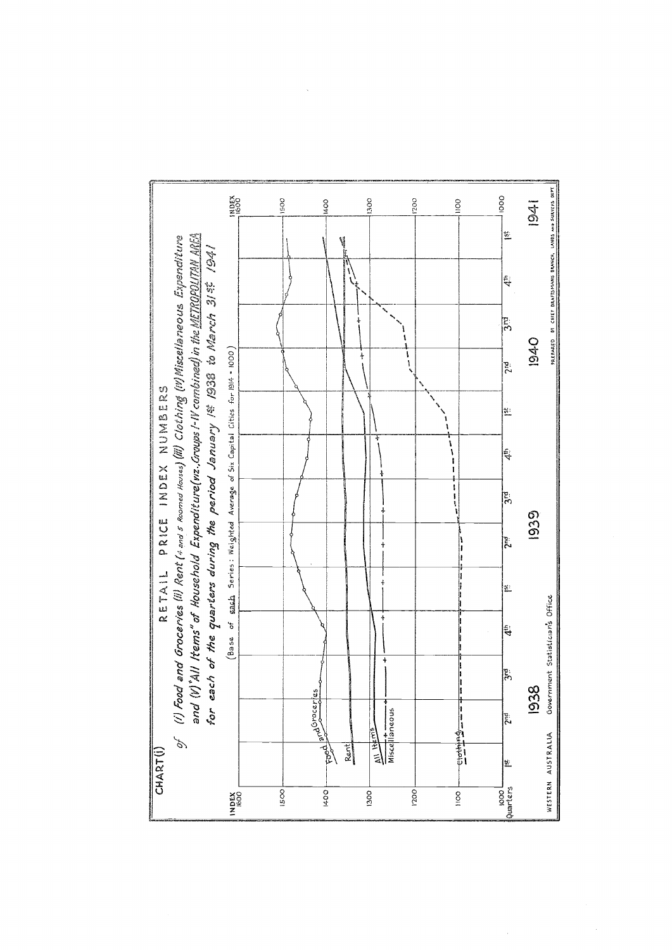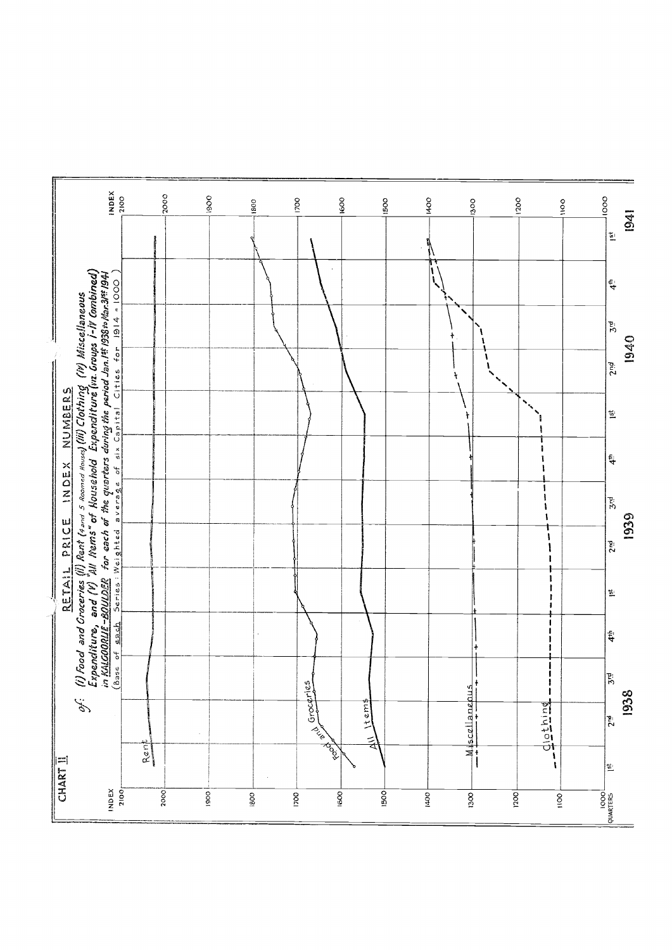